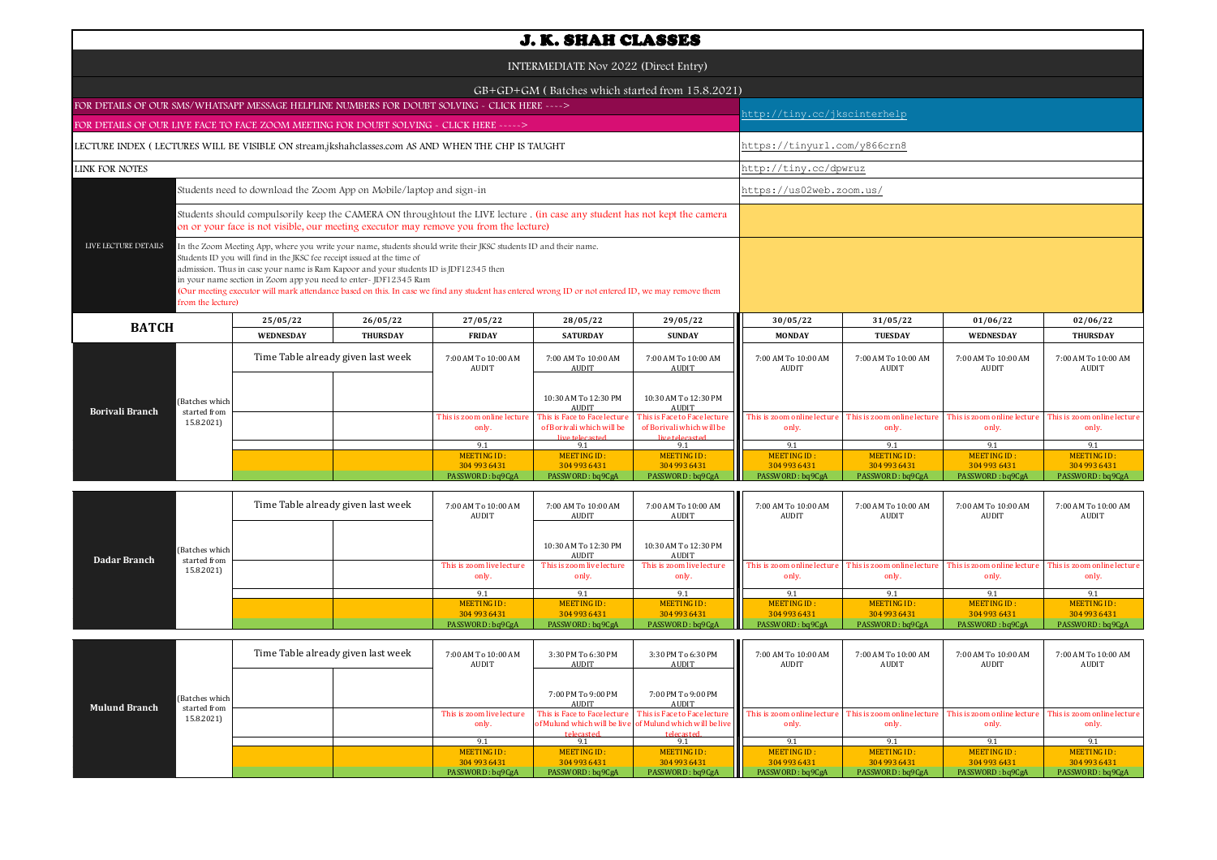| <b>J. K. SHAH CLASSES</b>                                                                                                                                                                                                                                                                                                                                                                                                                                                                                                                                |                                    |                 |                                                                                                                                                                                                                     |                                                                              |                                                                              |                                      |                                     |                                      |                                      |  |  |
|----------------------------------------------------------------------------------------------------------------------------------------------------------------------------------------------------------------------------------------------------------------------------------------------------------------------------------------------------------------------------------------------------------------------------------------------------------------------------------------------------------------------------------------------------------|------------------------------------|-----------------|---------------------------------------------------------------------------------------------------------------------------------------------------------------------------------------------------------------------|------------------------------------------------------------------------------|------------------------------------------------------------------------------|--------------------------------------|-------------------------------------|--------------------------------------|--------------------------------------|--|--|
| INTERMEDIATE Nov 2022 (Direct Entry)                                                                                                                                                                                                                                                                                                                                                                                                                                                                                                                     |                                    |                 |                                                                                                                                                                                                                     |                                                                              |                                                                              |                                      |                                     |                                      |                                      |  |  |
|                                                                                                                                                                                                                                                                                                                                                                                                                                                                                                                                                          |                                    |                 |                                                                                                                                                                                                                     |                                                                              | GB+GD+GM (Batches which started from 15.8.2021)                              |                                      |                                     |                                      |                                      |  |  |
| FOR DETAILS OF OUR SMS/WHATSAPP MESSAGE HELPLINE NUMBERS FOR DOUBT SOLVING - CLICK HERE ---->                                                                                                                                                                                                                                                                                                                                                                                                                                                            |                                    |                 |                                                                                                                                                                                                                     |                                                                              |                                                                              |                                      | nttp://tiny.cc/jkscinterhelp        |                                      |                                      |  |  |
| FOR DETAILS OF OUR LIVE FACE TO FACE ZOOM MEETING FOR DOUBT SOLVING - CLICK HERE ----->                                                                                                                                                                                                                                                                                                                                                                                                                                                                  |                                    |                 |                                                                                                                                                                                                                     |                                                                              |                                                                              |                                      |                                     |                                      |                                      |  |  |
| LECTURE INDEX (LECTURES WILL BE VISIBLE ON stream.jkshahclasses.com AS AND WHEN THE CHP IS TAUGHT                                                                                                                                                                                                                                                                                                                                                                                                                                                        |                                    |                 |                                                                                                                                                                                                                     |                                                                              |                                                                              |                                      | https://tinyurl.com/y866crn8        |                                      |                                      |  |  |
| <b>LINK FOR NOTES</b>                                                                                                                                                                                                                                                                                                                                                                                                                                                                                                                                    |                                    |                 |                                                                                                                                                                                                                     |                                                                              |                                                                              | http://tiny.cc/dpwruz                |                                     |                                      |                                      |  |  |
| Students need to download the Zoom App on Mobile/laptop and sign-in                                                                                                                                                                                                                                                                                                                                                                                                                                                                                      |                                    |                 |                                                                                                                                                                                                                     |                                                                              |                                                                              |                                      | https://us02web.zoom.us/            |                                      |                                      |  |  |
|                                                                                                                                                                                                                                                                                                                                                                                                                                                                                                                                                          |                                    |                 | Students should compulsorily keep the CAMERA ON throughtout the LIVE lecture. (in case any student has not kept the camera<br>on or your face is not visible, our meeting executor may remove you from the lecture) |                                                                              |                                                                              |                                      |                                     |                                      |                                      |  |  |
| LIVE LECTURE DETAILS<br>In the Zoom Meeting App, where you write your name, students should write their JKSC students ID and their name.<br>Students ID you will find in the JKSC fee receipt issued at the time of<br>admission. Thus in case your name is Ram Kapoor and your students ID is JDF12345 then<br>in your name section in Zoom app you need to enter-JDF12345 Ram<br>(Our meeting executor will mark attendance based on this. In case we find any student has entered wrong ID or not entered ID, we may remove them<br>from the lecture) |                                    |                 |                                                                                                                                                                                                                     |                                                                              |                                                                              |                                      |                                     |                                      |                                      |  |  |
| <b>BATCH</b>                                                                                                                                                                                                                                                                                                                                                                                                                                                                                                                                             | 25/05/22                           | 26/05/22        | 27/05/22                                                                                                                                                                                                            | 28/05/22                                                                     | 29/05/22                                                                     | 30/05/22                             | 31/05/22                            | 01/06/22                             | 02/06/22                             |  |  |
|                                                                                                                                                                                                                                                                                                                                                                                                                                                                                                                                                          | WEDNESDAY                          | <b>THURSDAY</b> | <b>FRIDAY</b>                                                                                                                                                                                                       | <b>SATURDAY</b>                                                              | <b>SUNDAY</b>                                                                | <b>MONDAY</b>                        | <b>TUESDAY</b>                      | <b>WEDNESDAY</b>                     | <b>THURSDAY</b>                      |  |  |
|                                                                                                                                                                                                                                                                                                                                                                                                                                                                                                                                                          | Time Table already given last week |                 | 7:00 AM To 10:00 AM<br>AUDIT                                                                                                                                                                                        | 7:00 AM To 10:00 AM<br><b>AUDIT</b>                                          | 7:00 AM To 10:00 AM<br><b>AUDIT</b>                                          | 7:00 AM To 10:00 AM<br>AUDIT         | 7:00 AM To 10:00 AM<br>AUDIT        | 7:00 AM To 10:00 AM<br>AUDIT         | 7:00 AM To 10:00 AM<br>AUDIT         |  |  |
| (Batches which<br><b>Borivali Branch</b><br>started from                                                                                                                                                                                                                                                                                                                                                                                                                                                                                                 |                                    |                 |                                                                                                                                                                                                                     | 10:30 AM To 12:30 PM<br><b>AUDIT</b>                                         | 10:30 AM To 12:30 PM<br>AUDIT                                                |                                      |                                     |                                      |                                      |  |  |
| 15.8.2021)                                                                                                                                                                                                                                                                                                                                                                                                                                                                                                                                               |                                    |                 | This is zoom online lecture<br>only.                                                                                                                                                                                | This is Face to Face lecture<br>of Borivali which will be<br>live telecasted | This is Face to Face lecture<br>of Borivali which will be<br>live telecasted | This is zoom online lecture<br>only. | This is zoom online lectur<br>only. | This is zoom online lecture<br>only. | This is zoom online lecture<br>only. |  |  |
|                                                                                                                                                                                                                                                                                                                                                                                                                                                                                                                                                          |                                    |                 | 9.1                                                                                                                                                                                                                 | 9.1                                                                          | 9.1                                                                          | 9.1                                  | 9.1                                 | 9.1                                  | 9.1                                  |  |  |
|                                                                                                                                                                                                                                                                                                                                                                                                                                                                                                                                                          |                                    |                 | MEETING ID:                                                                                                                                                                                                         | MEETING ID:                                                                  | <b>MEETING ID:</b>                                                           | <b>MEETING ID:</b>                   | <b>MEETING ID:</b>                  | <b>MEETING ID:</b>                   | <b>MEETING ID:</b>                   |  |  |
|                                                                                                                                                                                                                                                                                                                                                                                                                                                                                                                                                          |                                    |                 | 304 993 6431<br>PASSWORD: bq9CgA                                                                                                                                                                                    | 304 993 6431<br>PASSWORD: bq9CgA                                             | 304 993 6431<br>PASSWORD: bq9CgA                                             | 304 993 6431<br>PASSWORD: bq9CgA     | 304 993 6431<br>PASSWORD: bq9CgA    | 304 993 6431<br>PASSWORD: bq9CgA     | 304 993 6431<br>PASSWORD: bq9CgA     |  |  |
|                                                                                                                                                                                                                                                                                                                                                                                                                                                                                                                                                          |                                    |                 |                                                                                                                                                                                                                     |                                                                              |                                                                              |                                      |                                     |                                      |                                      |  |  |

| Dadar Branch<br>started from<br>15.8.2021) | Time Table already given last week |  | 7:00 AM To 10:00 AM<br>AUDIT | 7:00 AM To 10:00 AM<br>AUDIT       | 7:00 AM To 10:00 AM<br>AUDIT       | 7:00 AM To 10:00 AM<br>AUDIT       | 7:00 AM To 10:00 AM<br>AUDIT         | 7:00 AM To 10:00 AM<br>AUDIT | 7:00 AM To 10:00 AM<br>AUDIT                                                                 |                             |
|--------------------------------------------|------------------------------------|--|------------------------------|------------------------------------|------------------------------------|------------------------------------|--------------------------------------|------------------------------|----------------------------------------------------------------------------------------------|-----------------------------|
|                                            | (Batches which                     |  |                              |                                    | 10:30 AM To 12:30 PM<br>AUDIT      | 10:30 AM To 12:30 PM<br>AUDIT      |                                      |                              |                                                                                              |                             |
|                                            |                                    |  |                              | This is zoom live lecture<br>only. | This is zoom live lecture<br>only. | This is zoom live lecture<br>only. | This is zoom online lecture<br>only. | only.                        | This is zoom online lecture This is zoom online lecture This is zoom online lecture<br>only. | only.                       |
|                                            |                                    |  |                              | 9.1                                | 9.1                                | 9.1                                | 9.1                                  |                              |                                                                                              | 9.1                         |
|                                            |                                    |  |                              | MEETING ID:<br>304 993 6431        | MEETING ID:<br>304 993 6431        | MEETING ID:<br>304 993 6431        | MEETING ID:<br>304 993 6431          | MEETING ID:<br>304 993 6431  | MEETING ID:<br>304 993 6431                                                                  | MEETING ID:<br>304 993 6431 |
|                                            |                                    |  |                              | PASSWORD: bq9CgA                   | PASSWORD: bq9CgA                   | PASSWORD: bq9CgA                   | PASSWORD: bq9CgA                     | PASSWORD: bq9CgA             | PASSWORD: bq9CgA                                                                             | PASSWORD : bq9CgA           |

| (Batches which<br><b>Mulund Branch</b><br>started from<br>15.8.2021) | Time Table already given last week |                                    | 3:30 PM To 6:30 PM<br>AUDIT        | 3:30 PM To 6:30 PM<br>AUDIT                                             | 7:00 AM To 10:00 AM<br><b>AUDIT</b>                                                            | 7:00 AM To 10:00 AM<br><b>AUDIT</b>  | 7:00 AM To 10:00 AM<br><b>AUDIT</b>  | 7:00 AM To 10:00 AM<br>AUDIT         |
|----------------------------------------------------------------------|------------------------------------|------------------------------------|------------------------------------|-------------------------------------------------------------------------|------------------------------------------------------------------------------------------------|--------------------------------------|--------------------------------------|--------------------------------------|
|                                                                      |                                    |                                    | 7:00 PM To 9:00 PM<br><b>AUDIT</b> | 7:00 PM To 9:00 PM<br>AUDIT                                             |                                                                                                |                                      |                                      |                                      |
|                                                                      |                                    | This is zoom live lecture<br>only. | telecasted                         | of Mulund which will be live of Mulund which will be live<br>telecasted | This is Face to Face lecture This is Face to Face lecture This is zoom online lecture<br>only. | This is zoom online lecture<br>only. | This is zoom online lecture<br>only. | This is zoom online lecture<br>only. |
|                                                                      |                                    | 9.1                                | 9.1                                | 9.1                                                                     |                                                                                                |                                      |                                      |                                      |
|                                                                      |                                    | MEETING ID:                        | MEETING ID:                        | MEETING ID:                                                             | MEETING ID:                                                                                    | MEETING ID:                          | <b>MEETING ID:</b>                   | MEETING ID:                          |
|                                                                      |                                    | 304 993 6431                       | 304 993 6431                       | 304 993 6431                                                            | 304 993 6431                                                                                   | 304 993 6431                         | 304 993 6431                         | 304 993 6431                         |
|                                                                      |                                    | PASSWORD: bq9CgA                   | PASSWORD: bq9CgA                   | PASSWORD: bq9CgA                                                        | PASSWORD: bq9CgA                                                                               | PASSWORD: bq9CgA                     | PASSWORD: bq9CgA                     | PASSWORD: bq9CgA                     |